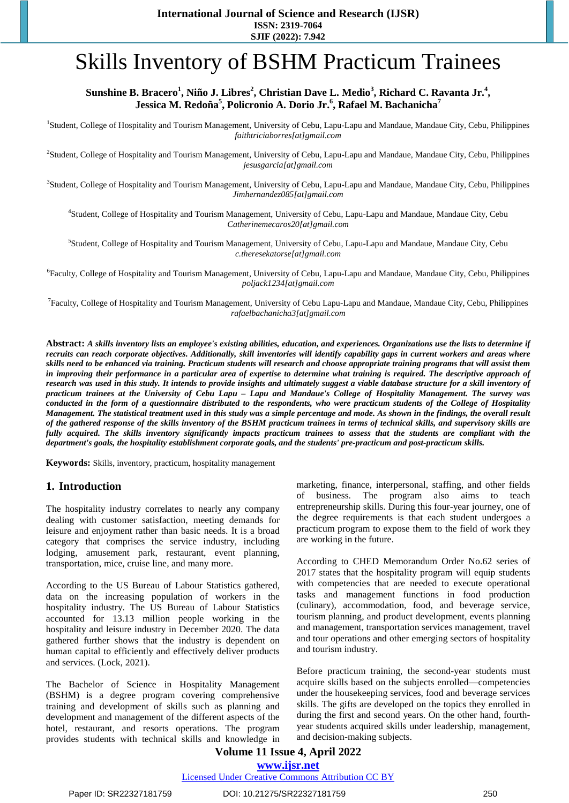# Skills Inventory of BSHM Practicum Trainees

# **Sunshine B. Bracero<sup>1</sup> , Niño J. Libres<sup>2</sup> , Christian Dave L. Medio<sup>3</sup> , Richard C. Ravanta Jr. 4 , Jessica M. Redoña<sup>5</sup> , Policronio A. Dorio Jr. 6 , Rafael M. Bachanicha<sup>7</sup>**

<sup>1</sup>Student, College of Hospitality and Tourism Management, University of Cebu, Lapu-Lapu and Mandaue, Mandaue City, Cebu, Philippines *faithtriciaborres[at]gmail.com* 

2 Student, College of Hospitality and Tourism Management, University of Cebu, Lapu-Lapu and Mandaue, Mandaue City, Cebu, Philippines *jesusgarcia[at]gmail.com*

3 Student, College of Hospitality and Tourism Management, University of Cebu, Lapu-Lapu and Mandaue, Mandaue City, Cebu, Philippines *Jimhernandez085[at]gmail.com*

4 Student, College of Hospitality and Tourism Management, University of Cebu, Lapu-Lapu and Mandaue, Mandaue City, Cebu *Catherinemecaros20[at]gmail.com*

5 Student, College of Hospitality and Tourism Management, University of Cebu, Lapu-Lapu and Mandaue, Mandaue City, Cebu *c.theresekatorse[at]gmail.com*

<sup>6</sup>Faculty, College of Hospitality and Tourism Management, University of Cebu, Lapu-Lapu and Mandaue, Mandaue City, Cebu, Philippines *poljack1234[at]gmail.com*

<sup>7</sup> Faculty, College of Hospitality and Tourism Management, University of Cebu Lapu-Lapu and Mandaue, Mandaue City, Cebu, Philippines *rafaelbachanicha3[at]gmail.com*

Abstract: A skills inventory lists an employee's existing abilities, education, and experiences. Organizations use the lists to determine if recruits can reach corporate objectives. Additionally, skill inventories will identify capability gaps in current workers and areas where skills need to be enhanced via training. Practicum students will research and choose appropriate training programs that will assist them in improving their performance in a particular area of expertise to determine what training is required. The descriptive approach of research was used in this study. It intends to provide insights and ultimately suggest a viable database structure for a skill inventory of practicum trainees at the University of Cebu Lapu - Lapu and Mandaue's College of Hospitality Management. The survey was conducted in the form of a questionnaire distributed to the respondents, who were practicum students of the College of Hospitality Management. The statistical treatment used in this study was a simple percentage and mode. As shown in the findings, the overall result of the gathered response of the skills inventory of the BSHM practicum trainees in terms of technical skills, and supervisory skills are fully acquired. The skills inventory significantly impacts practicum trainees to assess that the students are compliant with the *department's goals, the hospitality establishment corporate goals, and the students' pre-practicum and post-practicum skills.* 

**Keywords:** Skills, inventory, practicum, hospitality management

# **1. Introduction**

The hospitality industry correlates to nearly any company dealing with customer satisfaction, meeting demands for leisure and enjoyment rather than basic needs. It is a broad category that comprises the service industry, including lodging, amusement park, restaurant, event planning, transportation, mice, cruise line, and many more.

According to the US Bureau of Labour Statistics gathered, data on the increasing population of workers in the hospitality industry. The US Bureau of Labour Statistics accounted for 13.13 million people working in the hospitality and leisure industry in December 2020. The data gathered further shows that the industry is dependent on human capital to efficiently and effectively deliver products and services. (Lock, 2021).

The Bachelor of Science in Hospitality Management (BSHM) is a degree program covering comprehensive training and development of skills such as planning and development and management of the different aspects of the hotel, restaurant, and resorts operations. The program provides students with technical skills and knowledge in marketing, finance, interpersonal, staffing, and other fields of business. The program also aims to teach entrepreneurship skills. During this four-year journey, one of the degree requirements is that each student undergoes a practicum program to expose them to the field of work they are working in the future.

According to CHED Memorandum Order No.62 series of 2017 states that the hospitality program will equip students with competencies that are needed to execute operational tasks and management functions in food production (culinary), accommodation, food, and beverage service, tourism planning, and product development, events planning and management, transportation services management, travel and tour operations and other emerging sectors of hospitality and tourism industry.

Before practicum training, the second-year students must acquire skills based on the subjects enrolled—competencies under the housekeeping services, food and beverage services skills. The gifts are developed on the topics they enrolled in during the first and second years. On the other hand, fourthyear students acquired skills under leadership, management, and decision-making subjects.

## **Volume 11 Issue 4, April 2022 www.ijsr.net** Licensed Under Creative Commons Attribution CC BY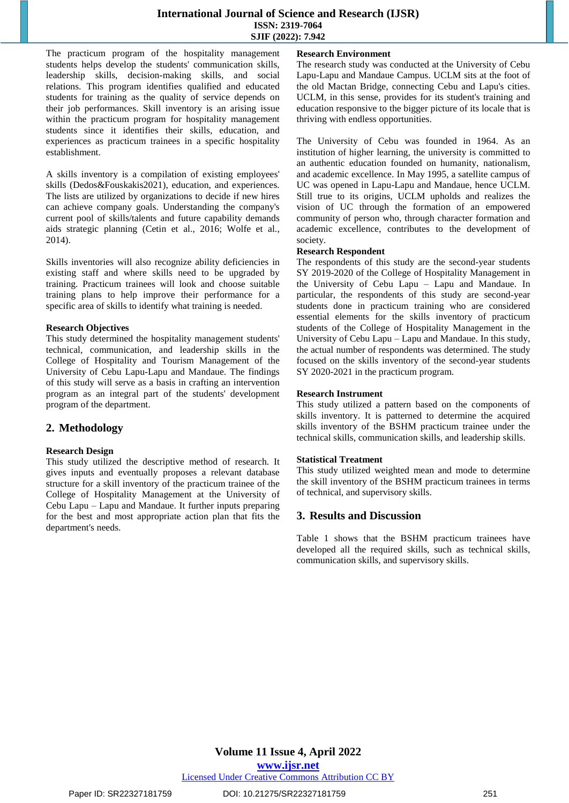The practicum program of the hospitality management students helps develop the students' communication skills, leadership skills, decision-making skills, and social relations. This program identifies qualified and educated students for training as the quality of service depends on their job performances. Skill inventory is an arising issue within the practicum program for hospitality management students since it identifies their skills, education, and experiences as practicum trainees in a specific hospitality establishment.

A skills inventory is a compilation of existing employees' skills (Dedos&Fouskakis2021), education, and experiences. The lists are utilized by organizations to decide if new hires can achieve company goals. Understanding the company's current pool of skills/talents and future capability demands aids strategic planning (Cetin et al., 2016; Wolfe et al., 2014).

Skills inventories will also recognize ability deficiencies in existing staff and where skills need to be upgraded by training. Practicum trainees will look and choose suitable training plans to help improve their performance for a specific area of skills to identify what training is needed.

#### **Research Objectives**

This study determined the hospitality management students' technical, communication, and leadership skills in the College of Hospitality and Tourism Management of the University of Cebu Lapu-Lapu and Mandaue. The findings of this study will serve as a basis in crafting an intervention program as an integral part of the students' development program of the department.

# **2. Methodology**

## **Research Design**

This study utilized the descriptive method of research. It gives inputs and eventually proposes a relevant database structure for a skill inventory of the practicum trainee of the College of Hospitality Management at the University of Cebu Lapu – Lapu and Mandaue. It further inputs preparing for the best and most appropriate action plan that fits the department's needs.

## **Research Environment**

The research study was conducted at the University of Cebu Lapu-Lapu and Mandaue Campus. UCLM sits at the foot of the old Mactan Bridge, connecting Cebu and Lapu's cities. UCLM, in this sense, provides for its student's training and education responsive to the bigger picture of its locale that is thriving with endless opportunities.

The University of Cebu was founded in 1964. As an institution of higher learning, the university is committed to an authentic education founded on humanity, nationalism, and academic excellence. In May 1995, a satellite campus of UC was opened in Lapu-Lapu and Mandaue, hence UCLM. Still true to its origins, UCLM upholds and realizes the vision of UC through the formation of an empowered community of person who, through character formation and academic excellence, contributes to the development of society.

### **Research Respondent**

The respondents of this study are the second-year students SY 2019-2020 of the College of Hospitality Management in the University of Cebu Lapu – Lapu and Mandaue. In particular, the respondents of this study are second-year students done in practicum training who are considered essential elements for the skills inventory of practicum students of the College of Hospitality Management in the University of Cebu Lapu – Lapu and Mandaue. In this study, the actual number of respondents was determined. The study focused on the skills inventory of the second-year students SY 2020-2021 in the practicum program.

## **Research Instrument**

This study utilized a pattern based on the components of skills inventory. It is patterned to determine the acquired skills inventory of the BSHM practicum trainee under the technical skills, communication skills, and leadership skills.

## **Statistical Treatment**

This study utilized weighted mean and mode to determine the skill inventory of the BSHM practicum trainees in terms of technical, and supervisory skills.

## **3. Results and Discussion**

Table 1 shows that the BSHM practicum trainees have developed all the required skills, such as technical skills, communication skills, and supervisory skills.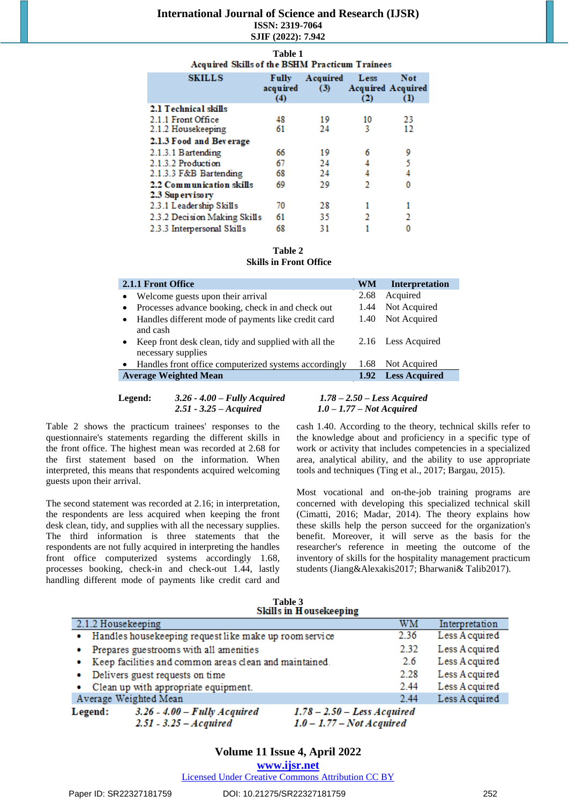| <b>SKILLS</b>                | <b>Fully</b><br>acquired<br>(4) | Acquired<br>(3) | Less<br>(2) | Not<br><b>Acquired Acquired</b><br>$\Omega$ |  |
|------------------------------|---------------------------------|-----------------|-------------|---------------------------------------------|--|
| 2.1 Technical skills         |                                 |                 |             |                                             |  |
| 2.1.1 Front Office           | 48                              | 19              | 10          | 23                                          |  |
| 2.1.2 Housekeeping           | 61                              | 24              | 3           | 12                                          |  |
| 2.1.3 Food and Beverage      |                                 |                 |             |                                             |  |
| 2.1.3.1 Bartending           | 66                              | 19              | 6           | 9                                           |  |
| 2.1.3.2 Production           | 67                              | 24              | 4           | 5                                           |  |
| 2.1.3.3 F&B Bartending       | 68                              | 24              | 4           | 4                                           |  |
| 2.2 Communication skills     | 69                              | 29              | 2           | 0                                           |  |
| 2.3 Supervisory              |                                 |                 |             |                                             |  |
| 2.3.1 Leadership Skills      | 70                              | 28              |             |                                             |  |
| 2.3.2 Decision Making Skills | 61                              | 35              | 2           | 2                                           |  |
| 2.3.3 Interpersonal Skills   | 68                              | 31              |             | 0                                           |  |

# **Table 1 Acquired Skills of the BSHM Practicum Trainees**

#### **Table 2 Skills in Front Office**

| 2.1.1 Front Office                                                                       | WM   | <b>Interpretation</b> |
|------------------------------------------------------------------------------------------|------|-----------------------|
| Welcome guests upon their arrival<br>$\bullet$                                           | 2.68 | Acquired              |
| Processes advance booking, check in and check out<br>٠                                   | 1.44 | Not Acquired          |
| Handles different mode of payments like credit card<br>$\bullet$<br>and cash             | 1.40 | Not Acquired          |
| Keep front desk clean, tidy and supplied with all the<br>$\bullet$<br>necessary supplies |      | 2.16 Less Acquired    |
| Handles front office computerized systems accordingly<br>$\bullet$                       | 1.68 | Not Acquired          |
| <b>Average Weighted Mean</b>                                                             | 1.92 | <b>Less Acquired</b>  |

#### **Legend:** *3.26 - 4.00 – Fully Acquired 1.78 – 2.50 – Less Acquired 2.51 - 3.25 – Acquired 1.0 – 1.77 – Not Acquired*

Table 2 shows the practicum trainees' responses to the questionnaire's statements regarding the different skills in the front office. The highest mean was recorded at 2.68 for the first statement based on the information. When interpreted, this means that respondents acquired welcoming guests upon their arrival.

The second statement was recorded at 2.16; in interpretation, the respondents are less acquired when keeping the front desk clean, tidy, and supplies with all the necessary supplies. The third information is three statements that the respondents are not fully acquired in interpreting the handles front office computerized systems accordingly 1.68, processes booking, check-in and check-out 1.44, lastly handling different mode of payments like credit card and cash 1.40. According to the theory, technical skills refer to the knowledge about and proficiency in a specific type of work or activity that includes competencies in a specialized area, analytical ability, and the ability to use appropriate tools and techniques (Ting et al., 2017; Bargau, 2015).

Most vocational and on-the-job training programs are concerned with developing this specialized technical skill (Cimatti, 2016; Madar, 2014). The theory explains how these skills help the person succeed for the organization's benefit. Moreover, it will serve as the basis for the researcher's reference in meeting the outcome of the inventory of skills for the hospitality management practicum students (Jiang&Alexakis2017; Bharwani& Talib2017).

|                    |                                                        | <b>Skills in Housekeeping</b> |      |                |
|--------------------|--------------------------------------------------------|-------------------------------|------|----------------|
| 2.1.2 Housekeeping |                                                        |                               | WМ   | Interpretation |
| ۰                  | Handles housekeeping request like make up room service |                               | 2.36 | Less A cquired |
|                    | Prepares guestrooms with all amenities                 |                               | 2.32 | Less A cquired |
| ۰                  | Keep facilities and common areas clean and maintained. |                               | 2.6  | Less Acquired  |
| ۰                  | Delivers guest requests on time                        |                               | 2.28 | Less A cquired |
| ۰                  | Clean up with appropriate equipment.                   |                               | 2.44 | Less A cquired |
|                    | Average Weighted Mean                                  |                               | 2.44 | Less A cquired |
| Legend:            | $3.26 - 4.00 - Fully Acquired$                         | $1.78 - 2.50 - Less Acquired$ |      |                |
|                    | $2.51 - 3.25 - A$ <i>cquired</i>                       | $1.0 - 1.77 - Not Acquired$   |      |                |

# **Table 3**

**www.ijsr.net**

Licensed Under Creative Commons Attribution CC BY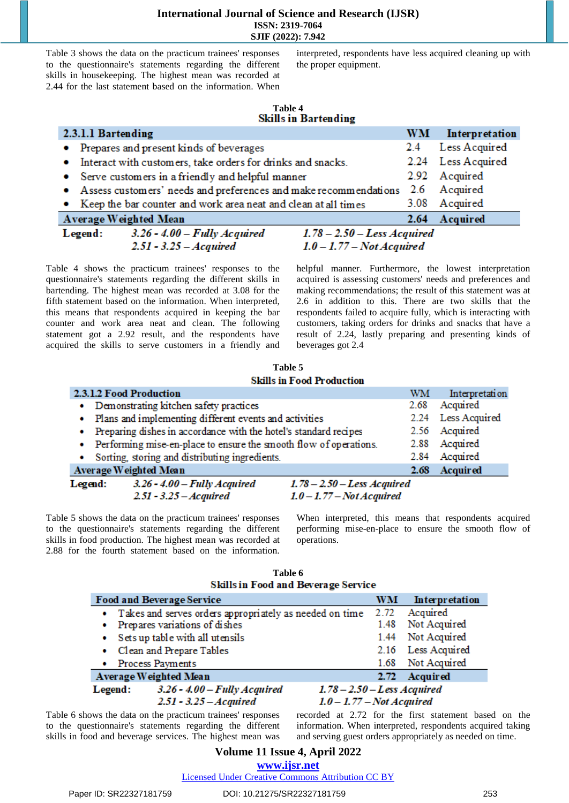Table 3 shows the data on the practicum trainees' responses to the questionnaire's statements regarding the different skills in housekeeping. The highest mean was recorded at 2.44 for the last statement based on the information. When

interpreted, respondents have less acquired cleaning up with the proper equipment.

# **Table 4**

| 2.3.1.1 Bartending |                                                                    |                               | WM   | Interpretation     |
|--------------------|--------------------------------------------------------------------|-------------------------------|------|--------------------|
|                    | • Prepares and present kinds of beverages                          |                               | 2.4  | Less Acquired      |
|                    | • Interact with customers, take orders for drinks and snacks.      |                               |      | 2.24 Less Acquired |
|                    | • Serve customers in a friendly and helpful manner                 |                               |      | 2.92 Acquired      |
|                    | • Assess customers' needs and preferences and make recommendations |                               |      | 2.6 Acquired       |
|                    | • Keep the bar counter and work area neat and clean at all times   |                               |      | 3.08 Acquired      |
|                    | Average Weighted Mean                                              |                               | 2.64 | Acquired           |
| Legend:            | $3.26 - 4.00 - Fully$ Acquired                                     | $1.78 - 2.50 - Less Acquired$ |      |                    |
|                    | $2.51 - 3.25 - Aequired$                                           | $1.0 - 1.77 - Not Acquired$   |      |                    |

Table 4 shows the practicum trainees' responses to the questionnaire's statements regarding the different skills in bartending. The highest mean was recorded at 3.08 for the fifth statement based on the information. When interpreted, this means that respondents acquired in keeping the bar counter and work area neat and clean. The following statement got a 2.92 result, and the respondents have acquired the skills to serve customers in a friendly and

helpful manner. Furthermore, the lowest interpretation acquired is assessing customers' needs and preferences and making recommendations; the result of this statement was at 2.6 in addition to this. There are two skills that the respondents failed to acquire fully, which is interacting with customers, taking orders for drinks and snacks that have a result of 2.24, lastly preparing and presenting kinds of beverages got 2.4

**Table 5 Skills in Food Production** 

|           | 2.3.1.2 Food Production                                           |                                        | WM   | Interpretation     |
|-----------|-------------------------------------------------------------------|----------------------------------------|------|--------------------|
| ۰         | Demonstrating kitchen safety practices                            |                                        | 2.68 | Acquired           |
| ۰         | Plans and implementing different events and activities            |                                        |      | 2.24 Less Acquired |
| $\bullet$ | Preparing dishes in accordance with the hotel's standard recipes  |                                        |      | 2.56 Acquired      |
| ۰         | Performing mise-en-place to ensure the smooth flow of operations. |                                        |      | 2.88 Acquired      |
| ۰         | Sorting, storing and distributing ingredients.                    |                                        | 2.84 | Acquired           |
|           | Average Weighted Mean                                             |                                        | 2.68 | Acquired           |
| Legend:   | $3.26 - 4.00 - Fully Acquired$                                    | $1.78 - 2.50 - Less \textit{Acquired}$ |      |                    |
|           | $2.51 - 3.25 - Aequired$                                          | $1.0 - 1.77 - Not Acquired$            |      |                    |

Table 5 shows the data on the practicum trainees' responses to the questionnaire's statements regarding the different skills in food production. The highest mean was recorded at 2.88 for the fourth statement based on the information.

When interpreted, this means that respondents acquired performing mise-en-place to ensure the smooth flow of operations.

Not Acquired

Acquired

| <b>Skills in Food and Beverage Service</b>                            |    |                    |
|-----------------------------------------------------------------------|----|--------------------|
| l and Beverage Service                                                | WМ | Interpretation     |
| Takes and serves orders appropriately as needed on time 2.72 Acquired |    |                    |
| Prepares variations of dishes                                         |    | 1.48 Not Acquired  |
| Sets up table with all utensils                                       |    | 1.44 Not Acquired  |
| Clean and Prepare Tables                                              |    | 2.16 Less Acquired |

**Table 6**

|         | . Sets up table with all diensils                   |                                     |                                        |  | $1.77$ $1001$ $100$ |  |
|---------|-----------------------------------------------------|-------------------------------------|----------------------------------------|--|---------------------|--|
|         | • Clean and Prepare Tables                          |                                     |                                        |  | 2.16 Less Ao        |  |
|         | • Process Payments                                  |                                     |                                        |  | 1.68 Not Acq        |  |
|         | Average Weighted Mean                               |                                     |                                        |  | 2.72 Acquire        |  |
| Legend: | $3.26 - 4.00 - Fully Acquired$                      |                                     | $1.78 - 2.50 - Less \textit{Acquired}$ |  |                     |  |
|         | $2.51 - 3.25 - Acquired$                            |                                     | $1.0 - 1.77 - Not Acquired$            |  |                     |  |
|         | shows the data on the practicum trainees' responses | recorded at 2.72 for the first stat |                                        |  |                     |  |

Table 6 to the questionnaire's statements regarding the different skills in food and beverage services. The highest mean was

the first statement based on the information. When interpreted, respondents acquired taking and serving guest orders appropriately as needed on time.

Licensed Under Creative Commons Attribution CC BY

Food an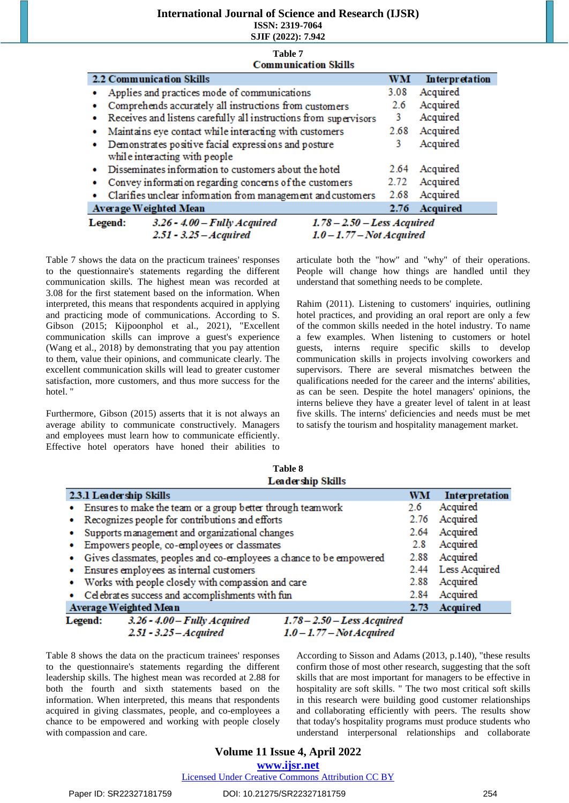# **International Journal of Science and Research (IJSR)**

**ISSN: 2319-7064**

**SJIF (2022): 7.942 Table 7**

|                | <b>Communication Skills</b>                                              |      |                |
|----------------|--------------------------------------------------------------------------|------|----------------|
|                | <b>2.2 Communication Skills</b>                                          | WМ   | Interpretation |
|                | Applies and practices mode of communications                             | 3.08 | Acquired       |
| ۰              | Comprehends accurately all instructions from customers                   | 2.6  | Acquired       |
|                | Receives and listens carefully all instructions from supervisors         | 3    | Acquired       |
| ۰              | Maintains eye contact while interacting with customers                   | 2.68 | Acquired       |
| ۰              | Demonstrates positive facial expressions and posture                     | 3    | Acquired       |
|                | while interacting with people                                            |      |                |
| ۰              | Disseminates information to customers about the hotel                    |      | 2.64 Acquired  |
| ٠              | Convey information regarding concerns of the customers                   | 2.72 | Acquired       |
|                | Clarifies unclear information from management and customers              | 2.68 | Acquired       |
|                | <b>Average Weighted Mean</b>                                             | 2.76 | Acquired       |
| <b>Legend:</b> | $3.26 - 4.00 - Fully Acquired$<br>$1.78 - 2.50 - Less \textit{Acquired}$ |      |                |
|                | $251 - 325 - A$ <i>canived</i><br>$1.0 - 1.77 - Not A$ contired          |      |                |

Table 7 shows the data on the practicum trainees' responses to the questionnaire's statements regarding the different communication skills. The highest mean was recorded at 3.08 for the first statement based on the information. When interpreted, this means that respondents acquired in applying and practicing mode of communications. According to S. Gibson (2015; Kijpoonphol et al., 2021), "Excellent communication skills can improve a guest's experience (Wang et al., 2018) by demonstrating that you pay attention to them, value their opinions, and communicate clearly. The excellent communication skills will lead to greater customer satisfaction, more customers, and thus more success for the hotel.'

Furthermore, Gibson (2015) asserts that it is not always an average ability to communicate constructively. Managers and employees must learn how to communicate efficiently. Effective hotel operators have honed their abilities to articulate both the "how" and "why" of their operations. People will change how things are handled until they understand that something needs to be complete.

Rahim (2011). Listening to customers' inquiries, outlining hotel practices, and providing an oral report are only a few of the common skills needed in the hotel industry. To name a few examples. When listening to customers or hotel guests, interns require specific skills to develop communication skills in projects involving coworkers and supervisors. There are several mismatches between the qualifications needed for the career and the interns' abilities, as can be seen. Despite the hotel managers' opinions, the interns believe they have a greater level of talent in at least five skills. The interns' deficiencies and needs must be met to satisfy the tourism and hospitality management market.

**Table 8 Leadership Skills** 

| 2.3.1 Leadership Skills                                               | WM   | Interpretation     |
|-----------------------------------------------------------------------|------|--------------------|
| • Ensures to make the team or a group better through teamwork         | 2.6  | Acquired           |
| • Recognizes people for contributions and efforts                     | 2.76 | Acquired           |
| • Supports management and organizational changes                      |      | 2.64 Acquired      |
| • Empowers people, co-employees or classmates                         | 2.8  | Acquired           |
| · Gives classmates, peoples and co-employees a chance to be empowered |      | 2.88 Acquired      |
| • Ensures employees as internal customers                             |      | 2.44 Less Acquired |
| • Works with people closely with compassion and care                  | 2.88 | Acquired           |
| • Celebrates success and accomplishments with fun                     | 2.84 | Acquired           |
| Average Weighted Mean                                                 | 2.73 | <b>Acquired</b>    |
| Legend: 3.26 - 4.00 - Fully Acquired<br>$1.78 - 2.50 - Less Acquired$ |      |                    |

 $2.51 - 3.25 - A$ *cquired* 

 $1.0 - 1.77 - Not Acquired$ 

Table 8 shows the data on the practicum trainees' responses to the questionnaire's statements regarding the different leadership skills. The highest mean was recorded at 2.88 for both the fourth and sixth statements based on the information. When interpreted, this means that respondents acquired in giving classmates, people, and co-employees a chance to be empowered and working with people closely with compassion and care.

According to Sisson and Adams (2013, p.140), "these results confirm those of most other research, suggesting that the soft skills that are most important for managers to be effective in hospitality are soft skills. " The two most critical soft skills in this research were building good customer relationships and collaborating efficiently with peers. The results show that today's hospitality programs must produce students who understand interpersonal relationships and collaborate

# **Volume 11 Issue 4, April 2022**

**www.ijsr.net**

Licensed Under Creative Commons Attribution CC BY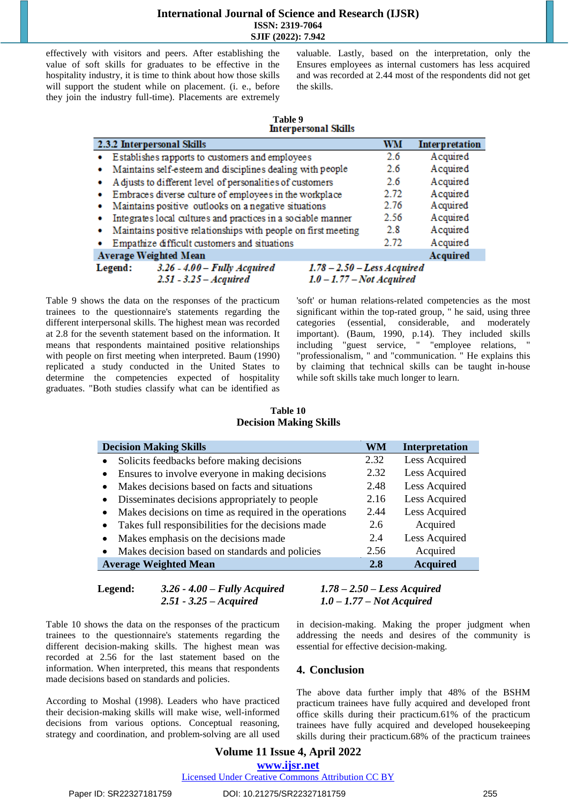effectively with visitors and peers. After establishing the value of soft skills for graduates to be effective in the hospitality industry, it is time to think about how those skills will support the student while on placement. (i. e., before they join the industry full-time). Placements are extremely valuable. Lastly, based on the interpretation, only the Ensures employees as internal customers has less acquired and was recorded at 2.44 most of the respondents did not get the skills.

# **Table 9**

|         | 2.3.2 Interpersonal Skills                                    | <b>WM</b>                     | <b>Interpretation</b> |
|---------|---------------------------------------------------------------|-------------------------------|-----------------------|
| ۰       | Establishes rapports to customers and employees               | 2.6                           | Acquired              |
| ٠       | Maintains self-esteem and disciplines dealing with people     | 2.6                           | Acquired              |
| ۰       | A djusts to different level of personalities of customers     | 2.6                           | Acquired              |
| ۰       | Embraces diverse culture of employees in the workplace        | 2.72                          | Acquired              |
| ۰       | Maintains positive outlooks on a negative situations          | 2.76                          | Acquired              |
| ۰       | Integrates local cultures and practices in a sociable manner  | 2.56                          | Acquired              |
| ۰       | Maintains positive relationships with people on first meeting | 2.8                           | Acquired              |
|         | Empathize difficult customers and situations                  | 2.72                          | Acquired              |
|         | <b>Average Weighted Mean</b>                                  |                               | <b>Acquired</b>       |
| Legend: | $3.26 - 4.00 - Fully$ Acquired                                | $1.78 - 2.50 - Less Acquired$ |                       |
|         | $2.51 - 3.25 - Aequired$                                      | $1.0 - 1.77 - Not Acquired$   |                       |

Table 9 shows the data on the responses of the practicum trainees to the questionnaire's statements regarding the different interpersonal skills. The highest mean was recorded at 2.8 for the seventh statement based on the information. It means that respondents maintained positive relationships with people on first meeting when interpreted. Baum (1990) replicated a study conducted in the United States to determine the competencies expected of hospitality graduates. "Both studies classify what can be identified as 'soft' or human relations-related competencies as the most significant within the top-rated group, " he said, using three categories (essential, considerable, and moderately important). (Baum, 1990, p.14). They included skills including "guest service, " "employee relations, " "professionalism, " and "communication. " He explains this by claiming that technical skills can be taught in-house while soft skills take much longer to learn.

# **Table 10**

| <b>Decision Making Skills</b>                                                                                                                                                            |                                          |           |                                                                                                                                                                                                                                                                                                        |
|------------------------------------------------------------------------------------------------------------------------------------------------------------------------------------------|------------------------------------------|-----------|--------------------------------------------------------------------------------------------------------------------------------------------------------------------------------------------------------------------------------------------------------------------------------------------------------|
| <b>Decision Making Skills</b>                                                                                                                                                            |                                          | <b>WM</b> | <b>Interpretation</b>                                                                                                                                                                                                                                                                                  |
| Solicits feedbacks before making decisions                                                                                                                                               |                                          | 2.32      | Less Acquired                                                                                                                                                                                                                                                                                          |
| Ensures to involve everyone in making decisions<br>$\bullet$                                                                                                                             |                                          | 2.32      | Less Acquired                                                                                                                                                                                                                                                                                          |
| Makes decisions based on facts and situations<br>$\bullet$                                                                                                                               |                                          | 2.48      | Less Acquired                                                                                                                                                                                                                                                                                          |
| Disseminates decisions appropriately to people<br>٠                                                                                                                                      |                                          | 2.16      | Less Acquired                                                                                                                                                                                                                                                                                          |
| Makes decisions on time as required in the operations<br>٠                                                                                                                               |                                          | 2.44      | Less Acquired                                                                                                                                                                                                                                                                                          |
| Takes full responsibilities for the decisions made<br>$\bullet$                                                                                                                          |                                          | 2.6       | Acquired                                                                                                                                                                                                                                                                                               |
| Makes emphasis on the decisions made<br>$\bullet$                                                                                                                                        |                                          | 2.4       | Less Acquired                                                                                                                                                                                                                                                                                          |
| Makes decision based on standards and policies<br>٠                                                                                                                                      |                                          | 2.56      | Acquired                                                                                                                                                                                                                                                                                               |
| <b>Average Weighted Mean</b>                                                                                                                                                             |                                          | 2.8       | <b>Acquired</b>                                                                                                                                                                                                                                                                                        |
| Legend:<br>$3.26 - 4.00 - Fully$ Acquired<br>$2.51 - 3.25 - A$ <i>cquired</i>                                                                                                            |                                          |           | $1.78 - 2.50 - Less Acquired$<br>$1.0 - 1.77 - Not Acquired$                                                                                                                                                                                                                                           |
| ws the data on the responses of the practicum<br>the questionnaire's statements regarding the<br>ision-making skills. The highest mean was<br>2.56 for the last statement based on the   | essential for effective decision-making. |           | in decision-making. Making the proper judgment when<br>addressing the needs and desires of the community is                                                                                                                                                                                            |
| When interpreted, this means that respondents<br>as based on standards and policies.                                                                                                     | 4. Conclusion                            |           |                                                                                                                                                                                                                                                                                                        |
| Moshal (1998). Leaders who have practiced<br>-making skills will make wise, well-informed<br>om various options. Conceptual reasoning,<br>coordination, and problem-solving are all used |                                          |           | The above data further imply that 48% of the BSHM<br>practicum trainees have fully acquired and developed front<br>office skills during their practicum.61% of the practicum<br>trainees have fully acquired and developed housekeeping<br>skills during their practicum.68% of the practicum trainees |

Table 10 shows the data on the responses of the practicum trainees to the questionnaire's statements regarding the different decision-making skills. The highest mean was recorded at 2.56 for the last statement based on the information. When interpreted, this means that respondents made decisions based on standards and policies.

According to Moshal (1998). Leaders who have practiced their decision-making skills will make wise, well-informed decisions from various options. Conceptual reasoning, strategy and coordination, and problem-solving are all used

# **4. Conclusion**

## **Volume 11 Issue 4, April 2022 www.ijsr.net** Licensed Under Creative Commons Attribution CC BY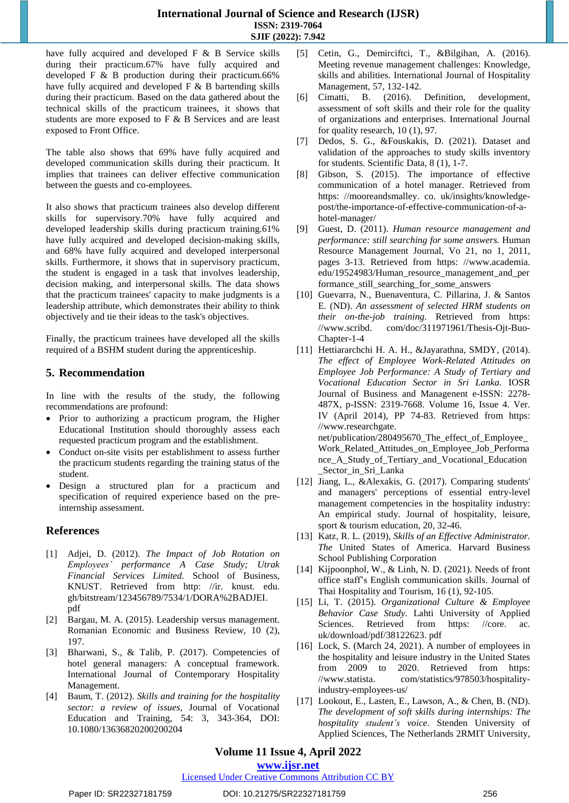have fully acquired and developed F & B Service skills during their practicum.67% have fully acquired and developed F & B production during their practicum.66% have fully acquired and developed F & B bartending skills during their practicum. Based on the data gathered about the technical skills of the practicum trainees, it shows that students are more exposed to F & B Services and are least exposed to Front Office.

The table also shows that 69% have fully acquired and developed communication skills during their practicum. It implies that trainees can deliver effective communication between the guests and co-employees.

It also shows that practicum trainees also develop different skills for supervisory.70% have fully acquired and developed leadership skills during practicum training.61% have fully acquired and developed decision-making skills, and 68% have fully acquired and developed interpersonal skills. Furthermore, it shows that in supervisory practicum, the student is engaged in a task that involves leadership, decision making, and interpersonal skills. The data shows that the practicum trainees' capacity to make judgments is a leadership attribute, which demonstrates their ability to think objectively and tie their ideas to the task's objectives.

Finally, the practicum trainees have developed all the skills required of a BSHM student during the apprenticeship.

# **5. Recommendation**

In line with the results of the study, the following recommendations are profound:

- Prior to authorizing a practicum program, the Higher Educational Institution should thoroughly assess each requested practicum program and the establishment.
- Conduct on-site visits per establishment to assess further the practicum students regarding the training status of the student.
- Design a structured plan for a practicum and specification of required experience based on the preinternship assessment.

# **References**

- [1] Adjei, D. (2012). *The Impact of Job Rotation on Employees' performance A Case Study; Utrak Financial Services Limited.* School of Business, KNUST. Retrieved from [http: //ir. knust. edu.](http://ir.knust.edu.gh/bitstream/123456789/7534/1/DORA%2BADJEI.pdf)  [gh/bitstream/123456789/7534/1/DORA%2BADJEI.](http://ir.knust.edu.gh/bitstream/123456789/7534/1/DORA%2BADJEI.pdf)  [pdf](http://ir.knust.edu.gh/bitstream/123456789/7534/1/DORA%2BADJEI.pdf)
- [2] Bargau, M. A. (2015). Leadership versus management. Romanian Economic and Business Review, 10 (2), 197.
- [3] Bharwani, S., & Talib, P. (2017). Competencies of hotel general managers: A conceptual framework. International Journal of Contemporary Hospitality Management.
- [4] Baum, T. (2012). *Skills and training for the hospitality sector: a review of issues*, Journal of Vocational Education and Training, 54: 3, 343-364, DOI: 10.1080/13636820200200204
- [5] Cetin, G., Demirciftci, T., &Bilgihan, A. (2016). Meeting revenue management challenges: Knowledge, skills and abilities. International Journal of Hospitality Management, 57, 132-142.
- [6] Cimatti, B. (2016). Definition, development, assessment of soft skills and their role for the quality of organizations and enterprises. International Journal for quality research, 10 (1), 97.
- [7] Dedos, S. G., &Fouskakis, D. (2021). Dataset and validation of the approaches to study skills inventory for students. Scientific Data, 8 (1), 1-7.
- [8] Gibson, S. (2015). The importance of effective communication of a hotel manager. Retrieved from [https: //mooreandsmalley. co. uk/insights/knowledge](https://mooreandsmalley.co.uk/insights/knowledge-post/the-importance-of-effective-communication-of-a-hotel-manager/)[post/the-importance-of-effective-communication-of-a](https://mooreandsmalley.co.uk/insights/knowledge-post/the-importance-of-effective-communication-of-a-hotel-manager/)[hotel-manager/](https://mooreandsmalley.co.uk/insights/knowledge-post/the-importance-of-effective-communication-of-a-hotel-manager/)
- [9] Guest, D. (2011). *Human resource management and performance: still searching for some answers.* Human Resource Management Journal, Vo 21, no 1, 2011, pages 3-13. Retrieved from [https: //www.academia.](https://www.academia.edu/19524983/Human_resource_management_and_performance_still_searching_for_some_answers)  [edu/19524983/Human\\_resource\\_management\\_and\\_per](https://www.academia.edu/19524983/Human_resource_management_and_performance_still_searching_for_some_answers) formance still searching for some answers
- [10] Guevarra, N., Buenaventura, C. Pillarina, J. & Santos E. (ND). *An assessment of selected HRM students on their on-the-job training.* Retrieved from [https:](https://www.scribd.com/doc/311971961/Thesis-Ojt-Buo-Chapter-1-4)  [//www.scribd. com/doc/311971961/Thesis-Ojt-Buo-](https://www.scribd.com/doc/311971961/Thesis-Ojt-Buo-Chapter-1-4)[Chapter-1-4](https://www.scribd.com/doc/311971961/Thesis-Ojt-Buo-Chapter-1-4)
- [11] Hettiararchchi H. A. H., &Jayarathna, SMDY, (2014). *The effect of Employee Work-Related Attitudes on Employee Job Performance: A Study of Tertiary and Vocational Education Sector in Sri Lanka.* IOSR Journal of Business and Managenent e-ISSN: 2278- 487X, p-ISSN: 2319-7668. Volume 16, Issue 4. Ver. IV (April 2014), PP 74-83. Retrieved from [https:](https://www.researchgate.net/publication/280495670_The_effect_of_Employee_Work_Related_Attitudes_on_Employee_Job_Performance_A_Study_of_Tertiary_and_Vocational_Education_Sector_in_Sri_Lanka)  [//www.researchgate.](https://www.researchgate.net/publication/280495670_The_effect_of_Employee_Work_Related_Attitudes_on_Employee_Job_Performance_A_Study_of_Tertiary_and_Vocational_Education_Sector_in_Sri_Lanka)  [net/publication/280495670\\_The\\_effect\\_of\\_Employee\\_](https://www.researchgate.net/publication/280495670_The_effect_of_Employee_Work_Related_Attitudes_on_Employee_Job_Performance_A_Study_of_Tertiary_and_Vocational_Education_Sector_in_Sri_Lanka) [Work\\_Related\\_Attitudes\\_on\\_Employee\\_Job\\_Performa](https://www.researchgate.net/publication/280495670_The_effect_of_Employee_Work_Related_Attitudes_on_Employee_Job_Performance_A_Study_of_Tertiary_and_Vocational_Education_Sector_in_Sri_Lanka) [nce\\_A\\_Study\\_of\\_Tertiary\\_and\\_Vocational\\_Education](https://www.researchgate.net/publication/280495670_The_effect_of_Employee_Work_Related_Attitudes_on_Employee_Job_Performance_A_Study_of_Tertiary_and_Vocational_Education_Sector_in_Sri_Lanka) [\\_Sector\\_in\\_Sri\\_Lanka](https://www.researchgate.net/publication/280495670_The_effect_of_Employee_Work_Related_Attitudes_on_Employee_Job_Performance_A_Study_of_Tertiary_and_Vocational_Education_Sector_in_Sri_Lanka)
- [12] Jiang, L., &Alexakis, G. (2017). Comparing students' and managers' perceptions of essential entry-level management competencies in the hospitality industry: An empirical study. Journal of hospitality, leisure, sport & tourism education, 20, 32-46.
- [13] Katz, R. L. (2019), *Skills of an Effective Administrator. The* United States of America. Harvard Business School Publishing Corporation
- [14] Kijpoonphol, W., & Linh, N. D. (2021). Needs of front office staff's English communication skills. Journal of Thai Hospitality and Tourism, 16 (1), 92-105.
- [15] Li, T. (2015). *Organizational Culture & Employee Behavior Case Study.* Lahti University of Applied Sciences. Retrieved from https: //core. ac. uk/download/pdf/38122623. pdf
- [16] Lock, S. (March 24, 2021). A number of employees in the hospitality and leisure industry in the United States from 2009 to 2020. Retrieved from [https:](https://www.statista.com/statistics/978503/hospitality-industry-employees-us/)  [//www.statista. com/statistics/978503/hospitality](https://www.statista.com/statistics/978503/hospitality-industry-employees-us/)[industry-employees-us/](https://www.statista.com/statistics/978503/hospitality-industry-employees-us/)
- [17] Lookout, E., Lasten, E., Lawson, A., & Chen, B. (ND). *The development of soft skills during internships: The hospitality student's voice*. Stenden University of Applied Sciences, The Netherlands 2RMIT University,

# **Volume 11 Issue 4, April 2022**

## **www.ijsr.net**

# Licensed Under Creative Commons Attribution CC BY